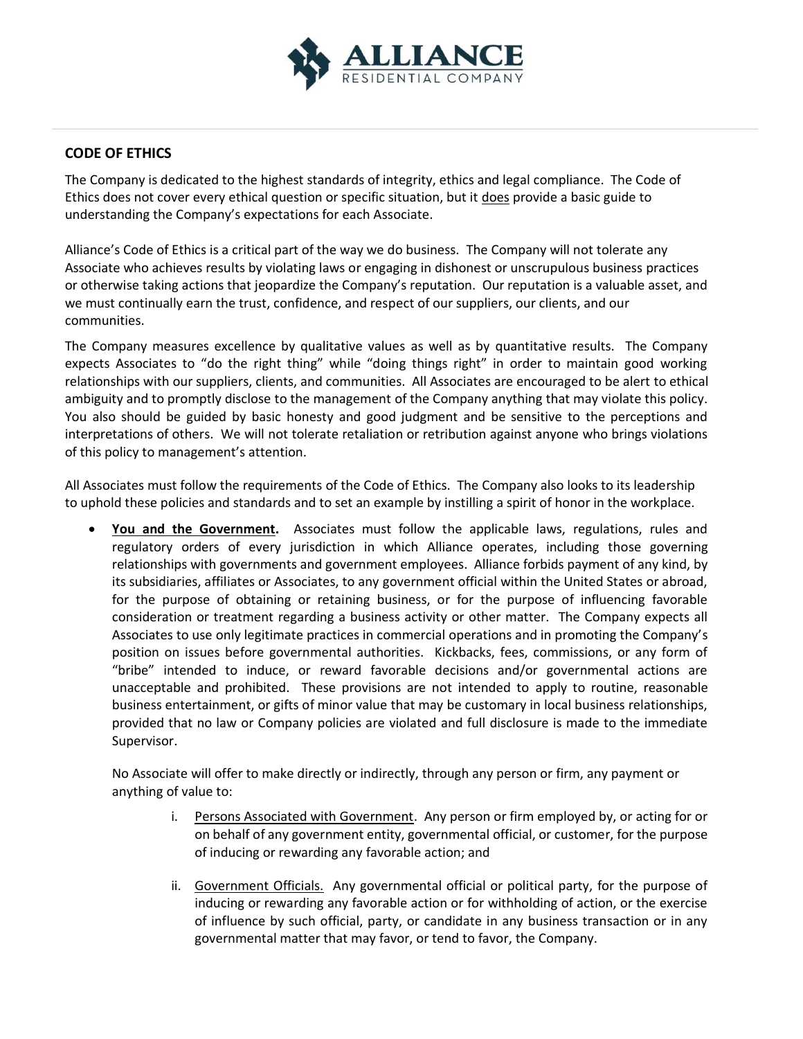

## **CODE OF ETHICS**

The Company is dedicated to the highest standards of integrity, ethics and legal compliance. The Code of Ethics does not cover every ethical question or specific situation, but it does provide a basic guide to understanding the Company's expectations for each Associate.

Alliance's Code of Ethics is a critical part of the way we do business. The Company will not tolerate any Associate who achieves results by violating laws or engaging in dishonest or unscrupulous business practices or otherwise taking actions that jeopardize the Company's reputation. Our reputation is a valuable asset, and we must continually earn the trust, confidence, and respect of our suppliers, our clients, and our communities.

The Company measures excellence by qualitative values as well as by quantitative results. The Company expects Associates to "do the right thing" while "doing things right" in order to maintain good working relationships with our suppliers, clients, and communities. All Associates are encouraged to be alert to ethical ambiguity and to promptly disclose to the management of the Company anything that may violate this policy. You also should be guided by basic honesty and good judgment and be sensitive to the perceptions and interpretations of others. We will not tolerate retaliation or retribution against anyone who brings violations of this policy to management's attention.

All Associates must follow the requirements of the Code of Ethics. The Company also looks to its leadership to uphold these policies and standards and to set an example by instilling a spirit of honor in the workplace.

• **You and the Government.** Associates must follow the applicable laws, regulations, rules and regulatory orders of every jurisdiction in which Alliance operates, including those governing relationships with governments and government employees. Alliance forbids payment of any kind, by its subsidiaries, affiliates or Associates, to any government official within the United States or abroad, for the purpose of obtaining or retaining business, or for the purpose of influencing favorable consideration or treatment regarding a business activity or other matter. The Company expects all Associates to use only legitimate practices in commercial operations and in promoting the Company's position on issues before governmental authorities. Kickbacks, fees, commissions, or any form of "bribe" intended to induce, or reward favorable decisions and/or governmental actions are unacceptable and prohibited. These provisions are not intended to apply to routine, reasonable business entertainment, or gifts of minor value that may be customary in local business relationships, provided that no law or Company policies are violated and full disclosure is made to the immediate Supervisor.

No Associate will offer to make directly or indirectly, through any person or firm, any payment or anything of value to:

- i. Persons Associated with Government. Any person or firm employed by, or acting for or on behalf of any government entity, governmental official, or customer, for the purpose of inducing or rewarding any favorable action; and
- ii. Government Officials.Any governmental official or political party, for the purpose of inducing or rewarding any favorable action or for withholding of action, or the exercise of influence by such official, party, or candidate in any business transaction or in any governmental matter that may favor, or tend to favor, the Company.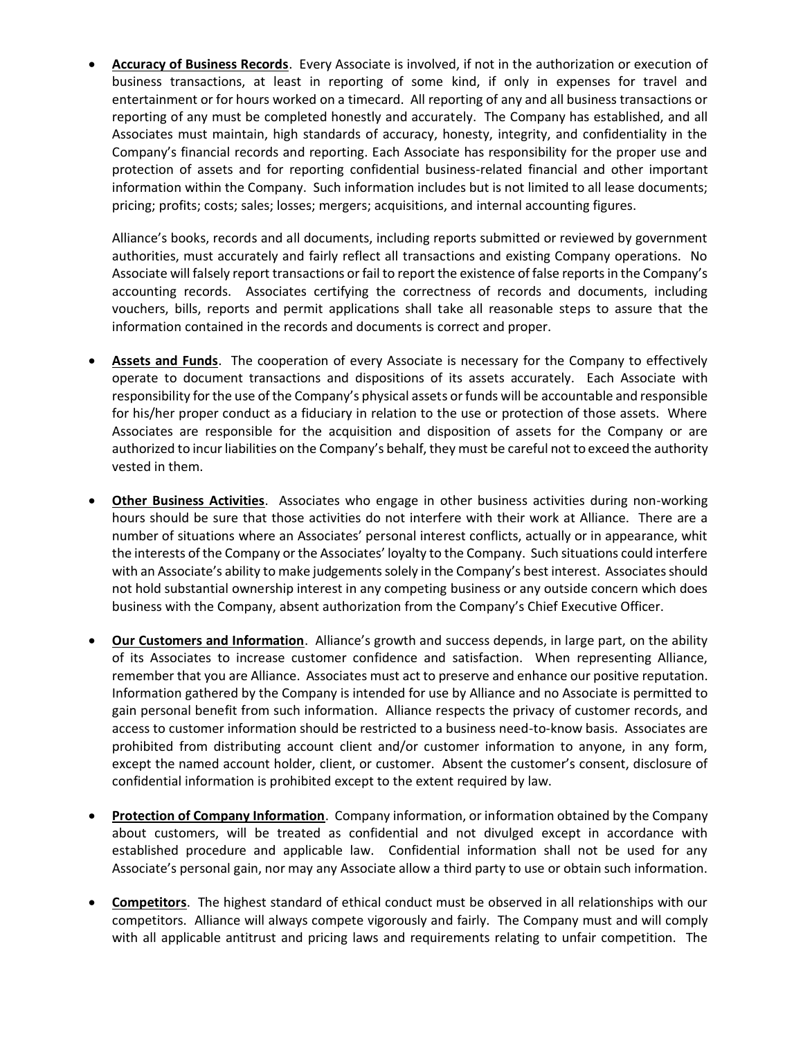• **Accuracy of Business Records**. Every Associate is involved, if not in the authorization or execution of business transactions, at least in reporting of some kind, if only in expenses for travel and entertainment or for hours worked on a timecard. All reporting of any and all business transactions or reporting of any must be completed honestly and accurately. The Company has established, and all Associates must maintain, high standards of accuracy, honesty, integrity, and confidentiality in the Company's financial records and reporting. Each Associate has responsibility for the proper use and protection of assets and for reporting confidential business-related financial and other important information within the Company. Such information includes but is not limited to all lease documents; pricing; profits; costs; sales; losses; mergers; acquisitions, and internal accounting figures.

Alliance's books, records and all documents, including reports submitted or reviewed by government authorities, must accurately and fairly reflect all transactions and existing Company operations. No Associate will falsely report transactions or fail to report the existence of false reports in the Company's accounting records. Associates certifying the correctness of records and documents, including vouchers, bills, reports and permit applications shall take all reasonable steps to assure that the information contained in the records and documents is correct and proper.

- **Assets and Funds**. The cooperation of every Associate is necessary for the Company to effectively operate to document transactions and dispositions of its assets accurately. Each Associate with responsibility for the use of the Company's physical assets or funds will be accountable and responsible for his/her proper conduct as a fiduciary in relation to the use or protection of those assets. Where Associates are responsible for the acquisition and disposition of assets for the Company or are authorized to incur liabilities on the Company's behalf, they must be careful not to exceed the authority vested in them.
- **Other Business Activities**. Associates who engage in other business activities during non-working hours should be sure that those activities do not interfere with their work at Alliance. There are a number of situations where an Associates' personal interest conflicts, actually or in appearance, whit the interests of the Company or the Associates' loyalty to the Company. Such situations could interfere with an Associate's ability to make judgements solely in the Company's best interest. Associates should not hold substantial ownership interest in any competing business or any outside concern which does business with the Company, absent authorization from the Company's Chief Executive Officer.
- **Our Customers and Information**. Alliance's growth and success depends, in large part, on the ability of its Associates to increase customer confidence and satisfaction. When representing Alliance, remember that you are Alliance. Associates must act to preserve and enhance our positive reputation. Information gathered by the Company is intended for use by Alliance and no Associate is permitted to gain personal benefit from such information. Alliance respects the privacy of customer records, and access to customer information should be restricted to a business need-to-know basis. Associates are prohibited from distributing account client and/or customer information to anyone, in any form, except the named account holder, client, or customer. Absent the customer's consent, disclosure of confidential information is prohibited except to the extent required by law.
- **Protection of Company Information**. Company information, or information obtained by the Company about customers, will be treated as confidential and not divulged except in accordance with established procedure and applicable law. Confidential information shall not be used for any Associate's personal gain, nor may any Associate allow a third party to use or obtain such information.
- **Competitors**. The highest standard of ethical conduct must be observed in all relationships with our competitors. Alliance will always compete vigorously and fairly. The Company must and will comply with all applicable antitrust and pricing laws and requirements relating to unfair competition. The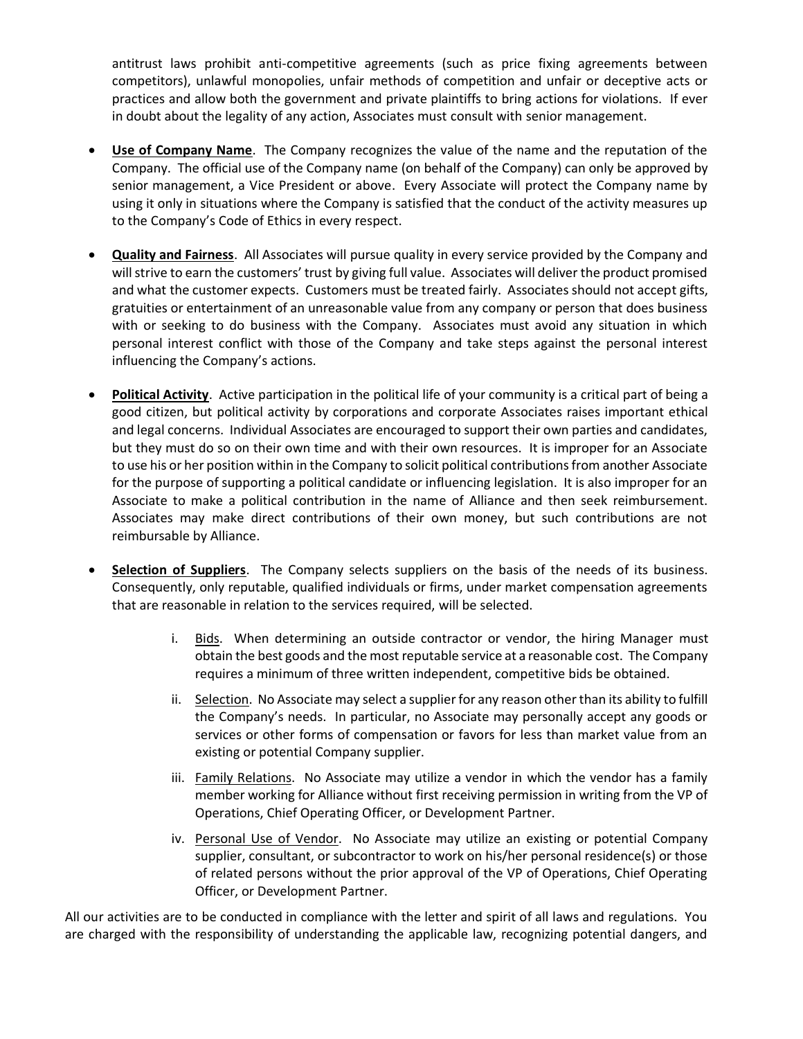antitrust laws prohibit anti-competitive agreements (such as price fixing agreements between competitors), unlawful monopolies, unfair methods of competition and unfair or deceptive acts or practices and allow both the government and private plaintiffs to bring actions for violations. If ever in doubt about the legality of any action, Associates must consult with senior management.

- **Use of Company Name**. The Company recognizes the value of the name and the reputation of the Company. The official use of the Company name (on behalf of the Company) can only be approved by senior management, a Vice President or above. Every Associate will protect the Company name by using it only in situations where the Company is satisfied that the conduct of the activity measures up to the Company's Code of Ethics in every respect.
- **Quality and Fairness**. All Associates will pursue quality in every service provided by the Company and will strive to earn the customers' trust by giving full value. Associates will deliver the product promised and what the customer expects. Customers must be treated fairly. Associates should not accept gifts, gratuities or entertainment of an unreasonable value from any company or person that does business with or seeking to do business with the Company. Associates must avoid any situation in which personal interest conflict with those of the Company and take steps against the personal interest influencing the Company's actions.
- **Political Activity**. Active participation in the political life of your community is a critical part of being a good citizen, but political activity by corporations and corporate Associates raises important ethical and legal concerns. Individual Associates are encouraged to support their own parties and candidates, but they must do so on their own time and with their own resources. It is improper for an Associate to use his or her position within in the Company to solicit political contributions from another Associate for the purpose of supporting a political candidate or influencing legislation. It is also improper for an Associate to make a political contribution in the name of Alliance and then seek reimbursement. Associates may make direct contributions of their own money, but such contributions are not reimbursable by Alliance.
- **Selection of Suppliers**. The Company selects suppliers on the basis of the needs of its business. Consequently, only reputable, qualified individuals or firms, under market compensation agreements that are reasonable in relation to the services required, will be selected.
	- i. Bids. When determining an outside contractor or vendor, the hiring Manager must obtain the best goods and the most reputable service at a reasonable cost. The Company requires a minimum of three written independent, competitive bids be obtained.
	- ii. Selection. No Associate may select a supplier for any reason other than its ability to fulfill the Company's needs. In particular, no Associate may personally accept any goods or services or other forms of compensation or favors for less than market value from an existing or potential Company supplier.
	- iii. Family Relations. No Associate may utilize a vendor in which the vendor has a family member working for Alliance without first receiving permission in writing from the VP of Operations, Chief Operating Officer, or Development Partner.
	- iv. Personal Use of Vendor. No Associate may utilize an existing or potential Company supplier, consultant, or subcontractor to work on his/her personal residence(s) or those of related persons without the prior approval of the VP of Operations, Chief Operating Officer, or Development Partner.

All our activities are to be conducted in compliance with the letter and spirit of all laws and regulations. You are charged with the responsibility of understanding the applicable law, recognizing potential dangers, and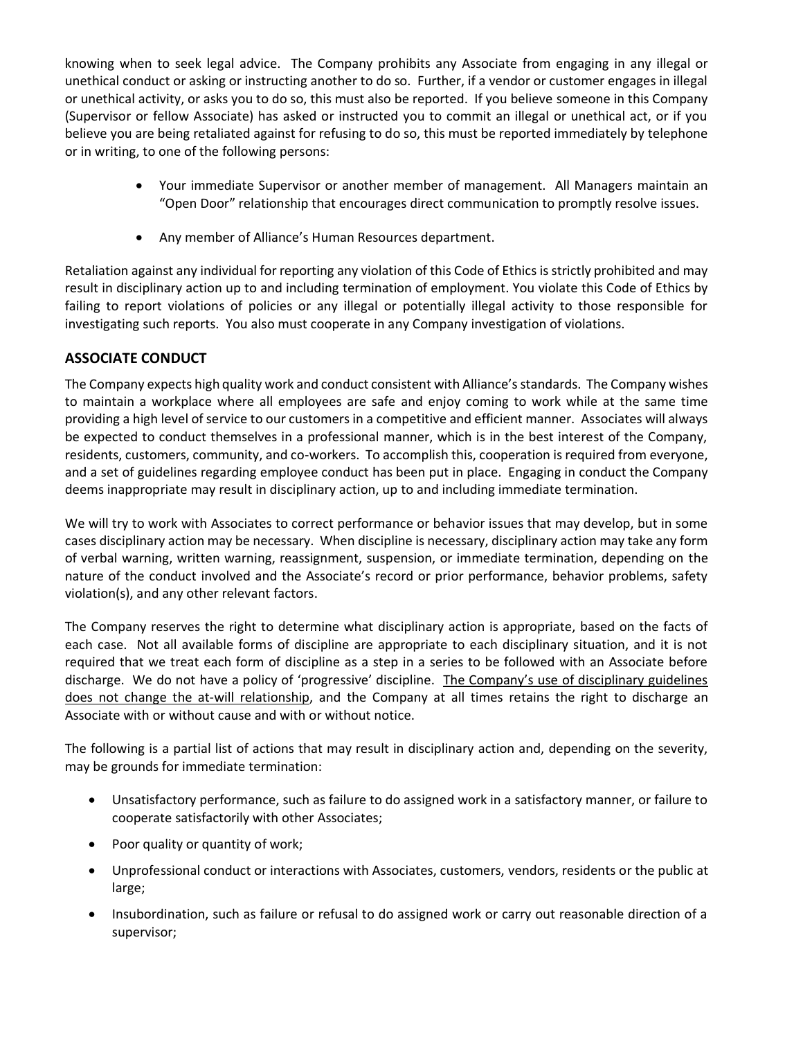knowing when to seek legal advice. The Company prohibits any Associate from engaging in any illegal or unethical conduct or asking or instructing another to do so. Further, if a vendor or customer engages in illegal or unethical activity, or asks you to do so, this must also be reported. If you believe someone in this Company (Supervisor or fellow Associate) has asked or instructed you to commit an illegal or unethical act, or if you believe you are being retaliated against for refusing to do so, this must be reported immediately by telephone or in writing, to one of the following persons:

- Your immediate Supervisor or another member of management. All Managers maintain an "Open Door" relationship that encourages direct communication to promptly resolve issues.
- Any member of Alliance's Human Resources department.

Retaliation against any individual for reporting any violation of this Code of Ethics is strictly prohibited and may result in disciplinary action up to and including termination of employment. You violate this Code of Ethics by failing to report violations of policies or any illegal or potentially illegal activity to those responsible for investigating such reports. You also must cooperate in any Company investigation of violations.

## **ASSOCIATE CONDUCT**

The Company expects high quality work and conduct consistent with Alliance's standards. The Company wishes to maintain a workplace where all employees are safe and enjoy coming to work while at the same time providing a high level of service to our customers in a competitive and efficient manner. Associates will always be expected to conduct themselves in a professional manner, which is in the best interest of the Company, residents, customers, community, and co-workers. To accomplish this, cooperation is required from everyone, and a set of guidelines regarding employee conduct has been put in place. Engaging in conduct the Company deems inappropriate may result in disciplinary action, up to and including immediate termination.

We will try to work with Associates to correct performance or behavior issues that may develop, but in some cases disciplinary action may be necessary. When discipline is necessary, disciplinary action may take any form of verbal warning, written warning, reassignment, suspension, or immediate termination, depending on the nature of the conduct involved and the Associate's record or prior performance, behavior problems, safety violation(s), and any other relevant factors.

The Company reserves the right to determine what disciplinary action is appropriate, based on the facts of each case. Not all available forms of discipline are appropriate to each disciplinary situation, and it is not required that we treat each form of discipline as a step in a series to be followed with an Associate before discharge. We do not have a policy of 'progressive' discipline. The Company's use of disciplinary guidelines does not change the at-will relationship, and the Company at all times retains the right to discharge an Associate with or without cause and with or without notice.

The following is a partial list of actions that may result in disciplinary action and, depending on the severity, may be grounds for immediate termination:

- Unsatisfactory performance, such as failure to do assigned work in a satisfactory manner, or failure to cooperate satisfactorily with other Associates;
- Poor quality or quantity of work;
- Unprofessional conduct or interactions with Associates, customers, vendors, residents or the public at large;
- Insubordination, such as failure or refusal to do assigned work or carry out reasonable direction of a supervisor;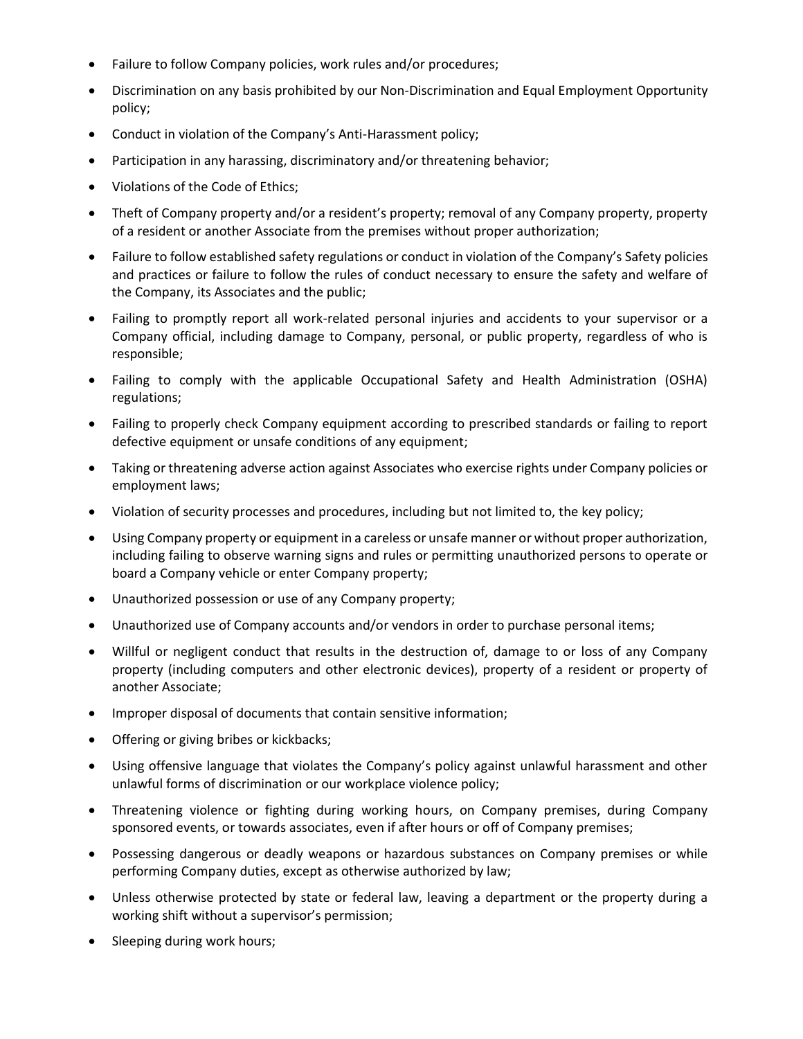- Failure to follow Company policies, work rules and/or procedures;
- Discrimination on any basis prohibited by our Non-Discrimination and Equal Employment Opportunity policy;
- Conduct in violation of the Company's Anti-Harassment policy;
- Participation in any harassing, discriminatory and/or threatening behavior;
- Violations of the Code of Ethics;
- Theft of Company property and/or a resident's property; removal of any Company property, property of a resident or another Associate from the premises without proper authorization;
- Failure to follow established safety regulations or conduct in violation of the Company's Safety policies and practices or failure to follow the rules of conduct necessary to ensure the safety and welfare of the Company, its Associates and the public;
- Failing to promptly report all work-related personal injuries and accidents to your supervisor or a Company official, including damage to Company, personal, or public property, regardless of who is responsible;
- Failing to comply with the applicable Occupational Safety and Health Administration (OSHA) regulations;
- Failing to properly check Company equipment according to prescribed standards or failing to report defective equipment or unsafe conditions of any equipment;
- Taking or threatening adverse action against Associates who exercise rights under Company policies or employment laws;
- Violation of security processes and procedures, including but not limited to, the key policy;
- Using Company property or equipment in a careless or unsafe manner or without proper authorization, including failing to observe warning signs and rules or permitting unauthorized persons to operate or board a Company vehicle or enter Company property;
- Unauthorized possession or use of any Company property;
- Unauthorized use of Company accounts and/or vendors in order to purchase personal items;
- Willful or negligent conduct that results in the destruction of, damage to or loss of any Company property (including computers and other electronic devices), property of a resident or property of another Associate;
- Improper disposal of documents that contain sensitive information;
- Offering or giving bribes or kickbacks;
- Using offensive language that violates the Company's policy against unlawful harassment and other unlawful forms of discrimination or our workplace violence policy;
- Threatening violence or fighting during working hours, on Company premises, during Company sponsored events, or towards associates, even if after hours or off of Company premises;
- Possessing dangerous or deadly weapons or hazardous substances on Company premises or while performing Company duties, except as otherwise authorized by law;
- Unless otherwise protected by state or federal law, leaving a department or the property during a working shift without a supervisor's permission;
- Sleeping during work hours;